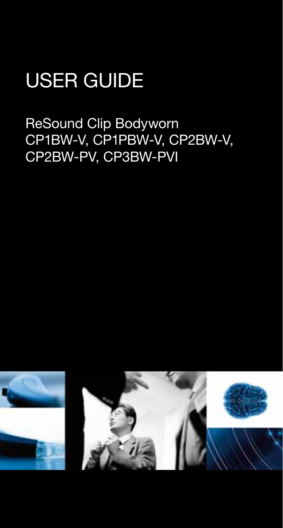# USER GUIDE

ReSound Clip Bodyworn CP1BW-V, CP1PBW-V, CP2BW-V, CP2BW-PV, CP3BW-PVI

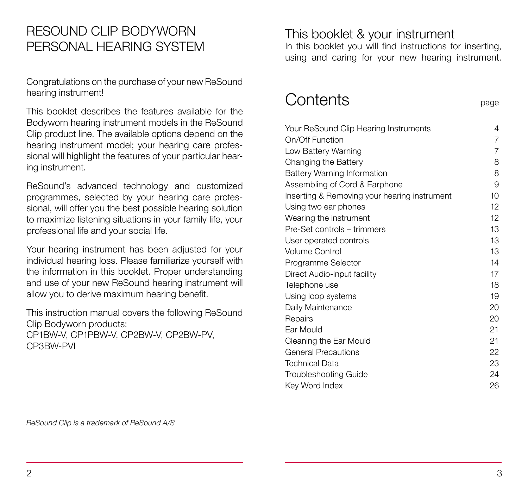## RESOUND CLIP BODYWORN PERSONAL HEARING SYSTEM

Congratulations on the purchase of your new ReSound hearing instrument!

This booklet describes the features available for the Bodyworn hearing instrument models in the ReSound Clip product line. The available options depend on the hearing instrument model; your hearing care professional will highlight the features of your particular hearing instrument.

ReSound's advanced technology and customized programmes, selected by your hearing care professional, will offer you the best possible hearing solution to maximize listening situations in your family life, your professional life and your social life.

Your hearing instrument has been adjusted for your individual hearing loss. Please familiarize yourself with the information in this booklet. Proper understanding and use of your new ReSound hearing instrument will allow you to derive maximum hearing benefit.

This instruction manual covers the following ReSound Clip Bodyworn products: CP1BW-V, CP1PBW-V, CP2BW-V, CP2BW-PV, CP3BW-PVI

This booklet & your instrument

In this booklet you will find instructions for inserting, using and caring for your new hearing instrument.

# Contents **page**

| Your ReSound Clip Hearing Instruments        | 4               |
|----------------------------------------------|-----------------|
| On/Off Function                              | 7               |
| Low Battery Warning                          | 7               |
| Changing the Battery                         | 8               |
| <b>Battery Warning Information</b>           | 8               |
| Assembling of Cord & Earphone                | 9               |
| Inserting & Removing your hearing instrument | 10              |
| Using two ear phones                         | 12              |
| Wearing the instrument                       | 12 <sup>°</sup> |
| Pre-Set controls – trimmers                  | 13              |
| User operated controls                       | 13              |
| <b>Volume Control</b>                        | 13              |
| Programme Selector                           | 14              |
| Direct Audio-input facility                  | 17              |
| Telephone use                                | 18              |
| Using loop systems                           | 19              |
| Daily Maintenance                            | 20              |
| Repairs                                      | 20              |
| Ear Mould                                    | 21              |
| Cleaning the Ear Mould                       | 21              |
| <b>General Precautions</b>                   | 22              |
| <b>Technical Data</b>                        | 23              |
| <b>Troubleshooting Guide</b>                 | 24              |
| Key Word Index                               | 26              |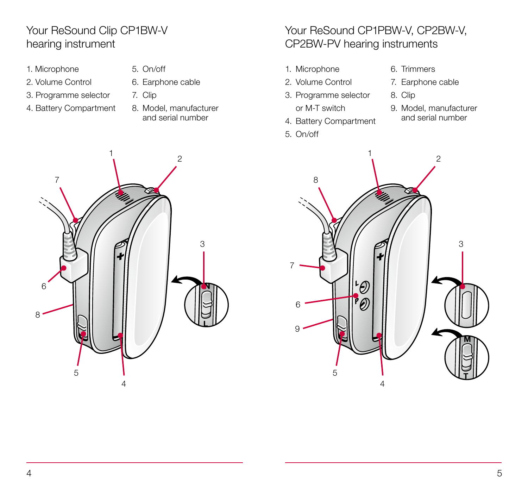#### Your ReSound Clip CP1BW-V hearing instrument

- 1. Microphone
- 2. Volume Control
- 3. Programme selector
- 4. Battery Compartment
- 5. On/off
- 6. Earphone cable
- 7. Clip
- 8. Model, manufacturer and serial number

### Your ReSound CP1PBW-V, CP2BW-V, CP2BW-PV hearing instruments

- 1. Microphone
- 2. Volume Control
- 3. Programme selector or M-T switch
- 4. Battery Compartment
- 5. On/off
- 6. Trimmers
- 7. Earphone cable
- 8. Clip
- 9. Model, manufacturer and serial number



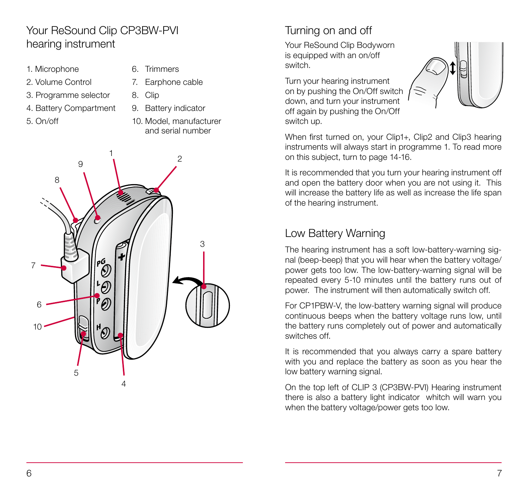#### Your ReSound Clip CP3BW-PVI hearing instrument

- 1. Microphone
- 2. Volume Control
- 3. Programme selector
- 4. Battery Compartment
- 5. On/off
- 6. Trimmers
- 7. Earphone cable
- 8. Clip
- 9. Battery indicator
- 10. Model, manufacturer and serial number



## Turning on and off

Your ReSound Clip Bodyworn is equipped with an on/off switch.

Turn your hearing instrument on by pushing the On/Off switch down, and turn your instrument off again by pushing the On/Off switch up.



When first turned on, your Clip1+, Clip2 and Clip3 hearing instruments will always start in programme 1. To read more on this subject, turn to page 14-16.

It is recommended that you turn your hearing instrument off and open the battery door when you are not using it. This will increase the battery life as well as increase the life span of the hearing instrument.

#### Low Battery Warning

The hearing instrument has a soft low-battery-warning signal (beep-beep) that you will hear when the battery voltage/ power gets too low. The low-battery-warning signal will be repeated every 5-10 minutes until the battery runs out of power. The instrument will then automatically switch off.

For CP1PBW-V, the low-battery warning signal will produce continuous beeps when the battery voltage runs low, until the battery runs completely out of power and automatically switches off.

It is recommended that you always carry a spare battery with you and replace the battery as soon as you hear the low battery warning signal.

On the top left of CLIP 3 (CP3BW-PVI) Hearing instrument there is also a battery light indicator whitch will warn you when the battery voltage/power gets too low.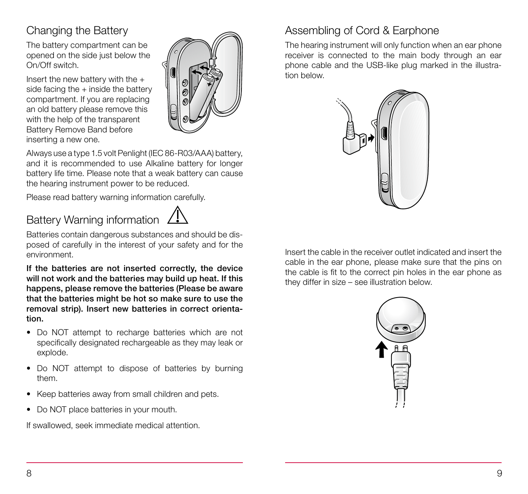## Changing the Battery

The battery compartment can be opened on the side just below the On/Off switch.

Insert the new battery with the  $+$ side facing the  $+$  inside the battery compartment. If you are replacing an old battery please remove this with the help of the transparent Battery Remove Band before inserting a new one.



Always use a type 1.5 volt Penlight (IEC 86-R03/AAA) battery, and it is recommended to use Alkaline battery for longer battery life time. Please note that a weak battery can cause the hearing instrument power to be reduced.

Please read battery warning information carefully.

# Battery Warning information 4



Batteries contain dangerous substances and should be disposed of carefully in the interest of your safety and for the environment.

If the batteries are not inserted correctly, the device will not work and the batteries may build up heat. If this happens, please remove the batteries (Please be aware that the batteries might be hot so make sure to use the removal strip). Insert new batteries in correct orientation.

- Do NOT attempt to recharge batteries which are not specifically designated rechargeable as they may leak or explode.
- Do NOT attempt to dispose of batteries by burning them.
- Keep batteries away from small children and pets.
- Do NOT place batteries in your mouth.

If swallowed, seek immediate medical attention.

### Assembling of Cord & Earphone

The hearing instrument will only function when an ear phone receiver is connected to the main body through an ear phone cable and the USB-like plug marked in the illustration below.



Insert the cable in the receiver outlet indicated and insert the cable in the ear phone, please make sure that the pins on the cable is fit to the correct pin holes in the ear phone as they differ in size – see illustration below.

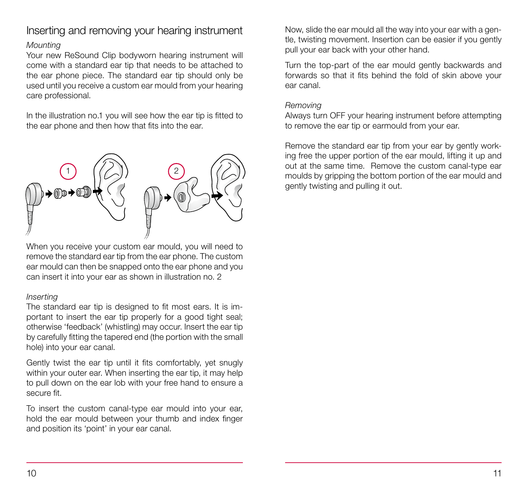### Inserting and removing your hearing instrument

#### Mounting

Your new ReSound Clip bodyworn hearing instrument will come with a standard ear tip that needs to be attached to the ear phone piece. The standard ear tip should only be used until you receive a custom ear mould from your hearing care professional.

In the illustration no.1 you will see how the ear tip is fitted to the ear phone and then how that fits into the ear.



When you receive your custom ear mould, you will need to remove the standard ear tip from the ear phone. The custom ear mould can then be snapped onto the ear phone and you can insert it into your ear as shown in illustration no. 2

#### Inserting

The standard ear tip is designed to fit most ears. It is important to insert the ear tip properly for a good tight seal: otherwise 'feedback' (whistling) may occur. Insert the ear tip by carefully fitting the tapered end (the portion with the small hole) into your ear canal.

Gently twist the ear tip until it fits comfortably, yet snugly within your outer ear. When inserting the ear tip, it may help to pull down on the ear lob with your free hand to ensure a secure fit.

To insert the custom canal-type ear mould into your ear, hold the ear mould between your thumb and index finger and position its 'point' in your ear canal.

Now, slide the ear mould all the way into your ear with a gentle, twisting movement. Insertion can be easier if you gently pull your ear back with your other hand.

Turn the top-part of the ear mould gently backwards and forwards so that it fits behind the fold of skin above your ear canal.

#### Removing

Always turn OFF your hearing instrument before attempting to remove the ear tip or earmould from your ear.

Remove the standard ear tip from your ear by gently working free the upper portion of the ear mould, lifting it up and out at the same time. Remove the custom canal-type ear moulds by gripping the bottom portion of the ear mould and gently twisting and pulling it out.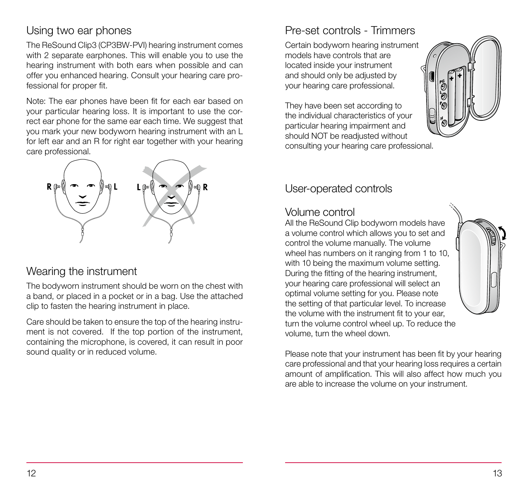#### Using two ear phones

The ReSound Clip3 (CP3BW-PVI) hearing instrument comes with 2 separate earphones. This will enable you to use the hearing instrument with both ears when possible and can offer you enhanced hearing. Consult your hearing care professional for proper fit.

Note: The ear phones have been fit for each ear based on your particular hearing loss. It is important to use the correct ear phone for the same ear each time. We suggest that you mark your new bodyworn hearing instrument with an L for left ear and an R for right ear together with your hearing care professional.



#### Wearing the instrument

The bodyworn instrument should be worn on the chest with a band, or placed in a pocket or in a bag. Use the attached clip to fasten the hearing instrument in place.

Care should be taken to ensure the top of the hearing instrument is not covered. If the top portion of the instrument, containing the microphone, is covered, it can result in poor sound quality or in reduced volume.

### Pre-set controls - Trimmers

Certain bodyworn hearing instrument models have controls that are located inside your instrument and should only be adjusted by your hearing care professional.

They have been set according to the individual characteristics of your particular hearing impairment and should NOT be readjusted without consulting your hearing care professional.



#### User-operated controls

#### Volume control

All the ReSound Clip bodyworn models have a volume control which allows you to set and control the volume manually. The volume wheel has numbers on it ranging from 1 to 10, with 10 being the maximum volume setting. During the fitting of the hearing instrument, your hearing care professional will select an optimal volume setting for you. Please note the setting of that particular level. To increase the volume with the instrument fit to your ear, turn the volume control wheel up. To reduce the volume, turn the wheel down.

Please note that your instrument has been fit by your hearing care professional and that your hearing loss requires a certain amount of amplification. This will also affect how much you are able to increase the volume on your instrument.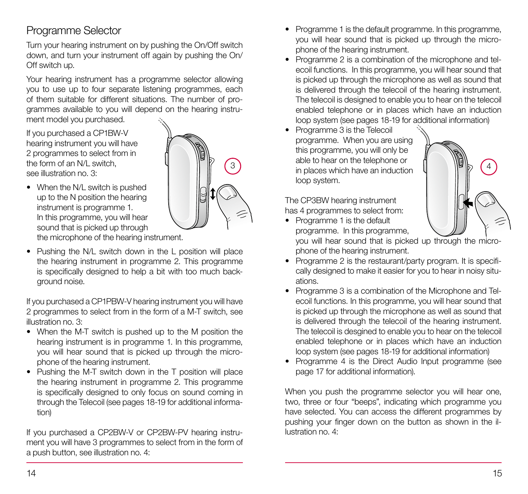#### Programme Selector

Turn your hearing instrument on by pushing the On/Off switch down, and turn your instrument off again by pushing the On/ Off switch up.

Your hearing instrument has a programme selector allowing you to use up to four separate listening programmes, each of them suitable for different situations. The number of programmes available to you will depend on the hearing instrument model you purchased.

If you purchased a CP1BW-V hearing instrument you will have 2 programmes to select from in the form of an N/L switch, see illustration no. 3:



- When the N/L switch is pushed up to the N position the hearing instrument is programme 1. In this programme, you will hear sound that is picked up through the microphone of the hearing instrument.
- Pushing the N/L switch down in the L position will place the hearing instrument in programme 2. This programme is specifically designed to help a bit with too much background noise.

If you purchased a CP1PBW-V hearing instrument you will have 2 programmes to select from in the form of a M-T switch, see illustration no. 3:

- When the M-T switch is pushed up to the M position the hearing instrument is in programme 1. In this programme, you will hear sound that is picked up through the microphone of the hearing instrument.
- Pushing the M-T switch down in the T position will place the hearing instrument in programme 2. This programme is specifically designed to only focus on sound coming in through the Telecoil (see pages 18-19 for additional information)

If you purchased a CP2BW-V or CP2BW-PV hearing instrument you will have 3 programmes to select from in the form of a push button, see illustration no. 4:

- Programme 1 is the default programme. In this programme, you will hear sound that is picked up through the microphone of the hearing instrument.
- Programme 2 is a combination of the microphone and telecoil functions. In this programme, you will hear sound that is picked up through the microphone as well as sound that is delivered through the telecoil of the hearing instrument. The telecoil is designed to enable you to hear on the telecoil enabled telephone or in places which have an induction loop system (see pages 18-19 for additional information)
- Programme 3 is the Telecoil programme. When you are using this programme, you will only be able to hear on the telephone or  $\begin{bmatrix} 3 \end{bmatrix}$  in places which have an induction  $\begin{bmatrix} 1 \end{bmatrix}$   $\begin{bmatrix} 4 \end{bmatrix}$ loop system.



The CP3BW hearing instrument has 4 programmes to select from:

• Programme 1 is the default programme. In this programme,

you will hear sound that is picked up through the microphone of the hearing instrument.

- Programme 2 is the restaurant/party program. It is specifically designed to make it easier for you to hear in noisy situations.
- Programme 3 is a combination of the Microphone and Telecoil functions. In this programme, you will hear sound that is picked up through the microphone as well as sound that is delivered through the telecoil of the hearing instrument. The telecoil is desgined to enable you to hear on the telecoil enabled telephone or in places which have an induction loop system (see pages 18-19 for additional information)
- Programme 4 is the Direct Audio Input programme (see page 17 for additional information).

When you push the programme selector you will hear one, two, three or four "beeps", indicating which programme you have selected. You can access the different programmes by pushing your finger down on the button as shown in the illustration no. 4: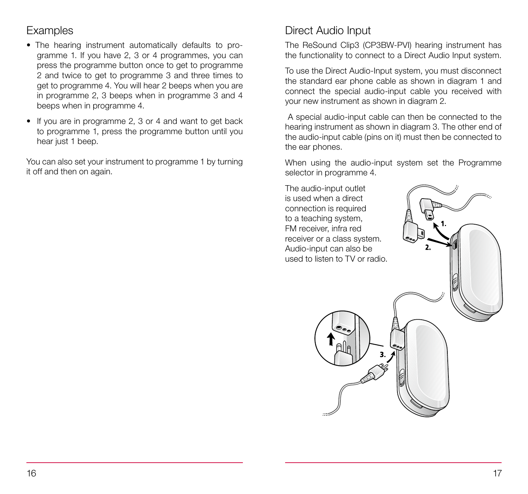#### **Examples**

- The hearing instrument automatically defaults to programme 1. If you have 2, 3 or 4 programmes, you can press the programme button once to get to programme 2 and twice to get to programme 3 and three times to get to programme 4. You will hear 2 beeps when you are in programme 2, 3 beeps when in programme 3 and 4 beeps when in programme 4.
- If you are in programme 2, 3 or 4 and want to get back to programme 1, press the programme button until you hear just 1 beep.

You can also set your instrument to programme 1 by turning it off and then on again.

#### Direct Audio Input

The ReSound Clip3 (CP3BW-PVI) hearing instrument has the functionality to connect to a Direct Audio Input system.

To use the Direct Audio-Input system, you must disconnect the standard ear phone cable as shown in diagram 1 and connect the special audio-input cable you received with your new instrument as shown in diagram 2.

 A special audio-input cable can then be connected to the hearing instrument as shown in diagram 3. The other end of the audio-input cable (pins on it) must then be connected to the ear phones.

When using the audio-input system set the Programme selector in programme 4.

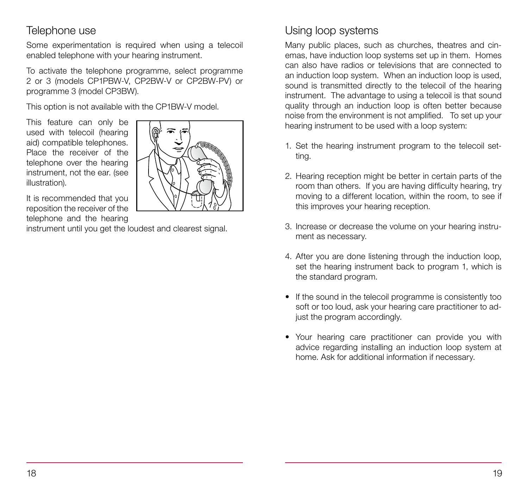#### Telephone use

Some experimentation is required when using a telecoil enabled telephone with your hearing instrument.

To activate the telephone programme, select programme 2 or 3 (models CP1PBW-V, CP2BW-V or CP2BW-PV) or programme 3 (model CP3BW).

This option is not available with the CP1BW-V model.

This feature can only be used with telecoil (hearing aid) compatible telephones. Place the receiver of the telephone over the hearing instrument, not the ear. (see illustration).



It is recommended that you reposition the receiver of the telephone and the hearing

instrument until you get the loudest and clearest signal.

#### Using loop systems

Many public places, such as churches, theatres and cinemas, have induction loop systems set up in them. Homes can also have radios or televisions that are connected to an induction loop system. When an induction loop is used, sound is transmitted directly to the telecoil of the hearing instrument. The advantage to using a telecoil is that sound quality through an induction loop is often better because noise from the environment is not amplified. To set up your hearing instrument to be used with a loop system:

- 1. Set the hearing instrument program to the telecoil setting.
- 2. Hearing reception might be better in certain parts of the room than others. If you are having difficulty hearing, try moving to a different location, within the room, to see if this improves your hearing reception.
- 3. Increase or decrease the volume on your hearing instrument as necessary.
- 4. After you are done listening through the induction loop, set the hearing instrument back to program 1, which is the standard program.
- If the sound in the telecoil programme is consistently too soft or too loud, ask your hearing care practitioner to adjust the program accordingly.
- Your hearing care practitioner can provide you with advice regarding installing an induction loop system at home. Ask for additional information if necessary.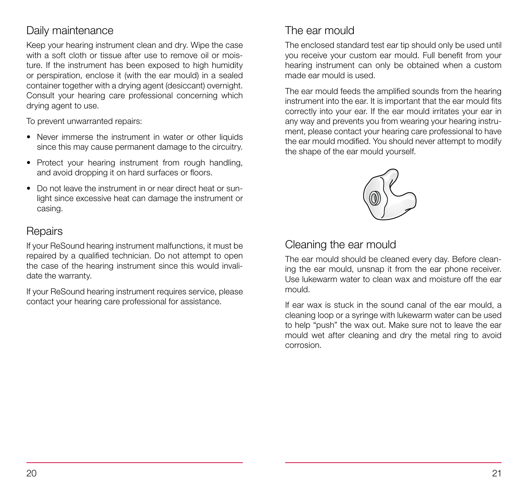#### Daily maintenance

Keep your hearing instrument clean and dry. Wipe the case with a soft cloth or tissue after use to remove oil or moisture. If the instrument has been exposed to high humidity or perspiration, enclose it (with the ear mould) in a sealed container together with a drying agent (desiccant) overnight. Consult your hearing care professional concerning which drying agent to use.

To prevent unwarranted repairs:

- Never immerse the instrument in water or other liquids since this may cause permanent damage to the circuitry.
- Protect your hearing instrument from rough handling, and avoid dropping it on hard surfaces or floors.
- Do not leave the instrument in or near direct heat or sunlight since excessive heat can damage the instrument or casing.

#### **Repairs**

If your ReSound hearing instrument malfunctions, it must be repaired by a qualified technician. Do not attempt to open the case of the hearing instrument since this would invalidate the warranty.

If your ReSound hearing instrument requires service, please contact your hearing care professional for assistance.

## The ear mould

The enclosed standard test ear tip should only be used until you receive your custom ear mould. Full benefit from your hearing instrument can only be obtained when a custom made ear mould is used.

The ear mould feeds the amplified sounds from the hearing instrument into the ear. It is important that the ear mould fits correctly into your ear. If the ear mould irritates your ear in any way and prevents you from wearing your hearing instrument, please contact your hearing care professional to have the ear mould modified. You should never attempt to modify the shape of the ear mould yourself.



#### Cleaning the ear mould

The ear mould should be cleaned every day. Before cleaning the ear mould, unsnap it from the ear phone receiver. Use lukewarm water to clean wax and moisture off the ear mould.

If ear wax is stuck in the sound canal of the ear mould, a cleaning loop or a syringe with lukewarm water can be used to help "push" the wax out. Make sure not to leave the ear mould wet after cleaning and dry the metal ring to avoid corrosion.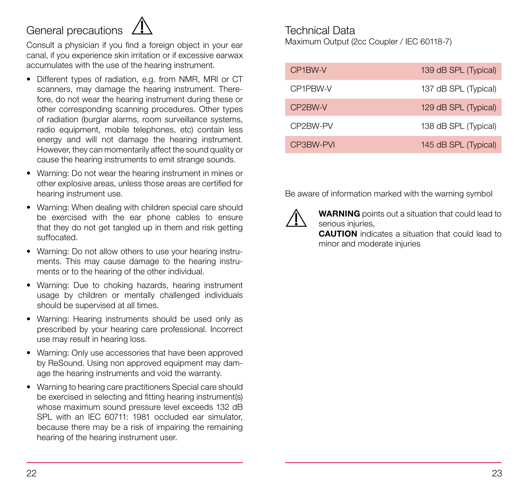## General precautions



Consult a physician if you find a foreign object in your ear canal, if you experience skin irritation or if excessive earwax accumulates with the use of the hearing instrument.

- Different types of radiation, e.g. from NMR, MRI or CT scanners, may damage the hearing instrument. Therefore, do not wear the hearing instrument during these or other corresponding scanning procedures. Other types of radiation (burglar alarms, room surveillance systems, radio equipment, mobile telephones, etc) contain less energy and will not damage the hearing instrument. However, they can momentarily affect the sound quality or cause the hearing instruments to emit strange sounds.
- Warning: Do not wear the hearing instrument in mines or other explosive areas, unless those areas are certified for hearing instrument use.
- Warning: When dealing with children special care should be exercised with the ear phone cables to ensure that they do not get tangled up in them and risk getting suffocated.
- Warning: Do not allow others to use your hearing instruments. This may cause damage to the hearing instruments or to the hearing of the other individual.
- Warning: Due to choking hazards, hearing instrument usage by children or mentally challenged individuals should be supervised at all times.
- Warning: Hearing instruments should be used only as prescribed by your hearing care professional. Incorrect use may result in hearing loss.
- Warning: Only use accessories that have been approved by ReSound. Using non approved equipment may damage the hearing instruments and void the warranty.
- Warning to hearing care practitioners Special care should be exercised in selecting and fitting hearing instrument(s) whose maximum sound pressure level exceeds 132 dB SPL with an IEC 60711: 1981 occluded ear simulator, because there may be a risk of impairing the remaining hearing of the hearing instrument user.

# Technical Data

Maximum Output (2cc Coupler / IEC 60118-7)

| CP1BW-V   | 139 dB SPL (Typical) |
|-----------|----------------------|
| CP1PBW-V  | 137 dB SPL (Typical) |
| CP2BW-V   | 129 dB SPL (Typical) |
| CP2BW-PV  | 138 dB SPL (Typical) |
| CP3BW-PVI | 145 dB SPL (Typical) |

Be aware of information marked with the warning symbol



WARNING points out a situation that could lead to serious injuries.

CAUTION indicates a situation that could lead to minor and moderate injuries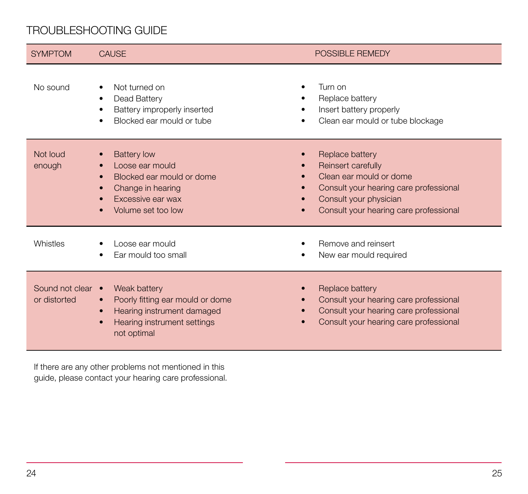#### TROUBLESHOOTING GUIDE

| <b>SYMPTOM</b>                    | <b>CAUSE</b>                                                                                                                                                        | POSSIBLE REMEDY                                                                                                                                                                |
|-----------------------------------|---------------------------------------------------------------------------------------------------------------------------------------------------------------------|--------------------------------------------------------------------------------------------------------------------------------------------------------------------------------|
| No sound                          | Not turned on<br>Dead Battery<br>Battery improperly inserted<br>Blocked ear mould or tube                                                                           | Turn on<br>Replace battery<br>Insert battery properly<br>Clean ear mould or tube blockage                                                                                      |
| Not loud<br>enough                | <b>Battery low</b><br>Loose ear mould<br>Blocked ear mould or dome<br>Change in hearing<br>Excessive ear wax<br>Volume set too low                                  | Replace battery<br>Reinsert carefully<br>Clean ear mould or dome<br>Consult your hearing care professional<br>Consult your physician<br>Consult your hearing care professional |
| Whistles                          | Loose ear mould<br>Ear mould too small                                                                                                                              | Remove and reinsert<br>New ear mould required                                                                                                                                  |
| Sound not clear •<br>or distorted | Weak battery<br>Poorly fitting ear mould or dome<br>$\bullet$<br>Hearing instrument damaged<br>$\bullet$<br>Hearing instrument settings<br>$\bullet$<br>not optimal | Replace battery<br>Consult your hearing care professional<br>Consult your hearing care professional<br>Consult your hearing care professional                                  |

If there are any other problems not mentioned in this guide, please contact your hearing care professional.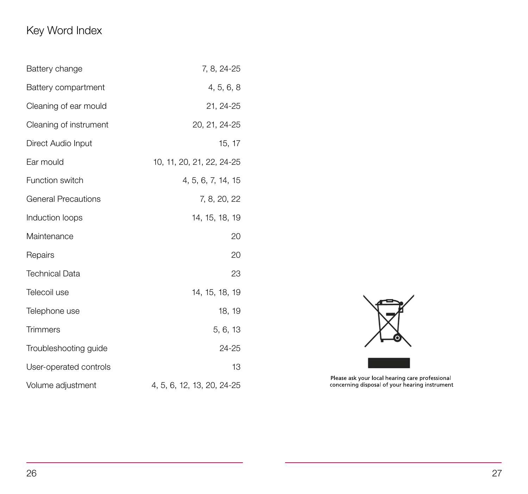## Key Word Index

| Battery change             | 7, 8, 24-25                |
|----------------------------|----------------------------|
| Battery compartment        | 4, 5, 6, 8                 |
| Cleaning of ear mould      | 21, 24-25                  |
| Cleaning of instrument     | 20, 21, 24-25              |
| Direct Audio Input         | 15, 17                     |
| Ear mould                  | 10, 11, 20, 21, 22, 24-25  |
| Function switch            | 4, 5, 6, 7, 14, 15         |
| <b>General Precautions</b> | 7, 8, 20, 22               |
| Induction loops            | 14, 15, 18, 19             |
| Maintenance                | 20                         |
| Repairs                    | 20                         |
| <b>Technical Data</b>      | 23                         |
| Telecoil use               | 14, 15, 18, 19             |
| Telephone use              | 18, 19                     |
| <b>Trimmers</b>            | 5, 6, 13                   |
| Troubleshooting guide      | 24-25                      |
| User-operated controls     | 13                         |
| Volume adjustment          | 4, 5, 6, 12, 13, 20, 24-25 |



Please ask your local hearing care professional<br>concerning disposal of your hearing instrument